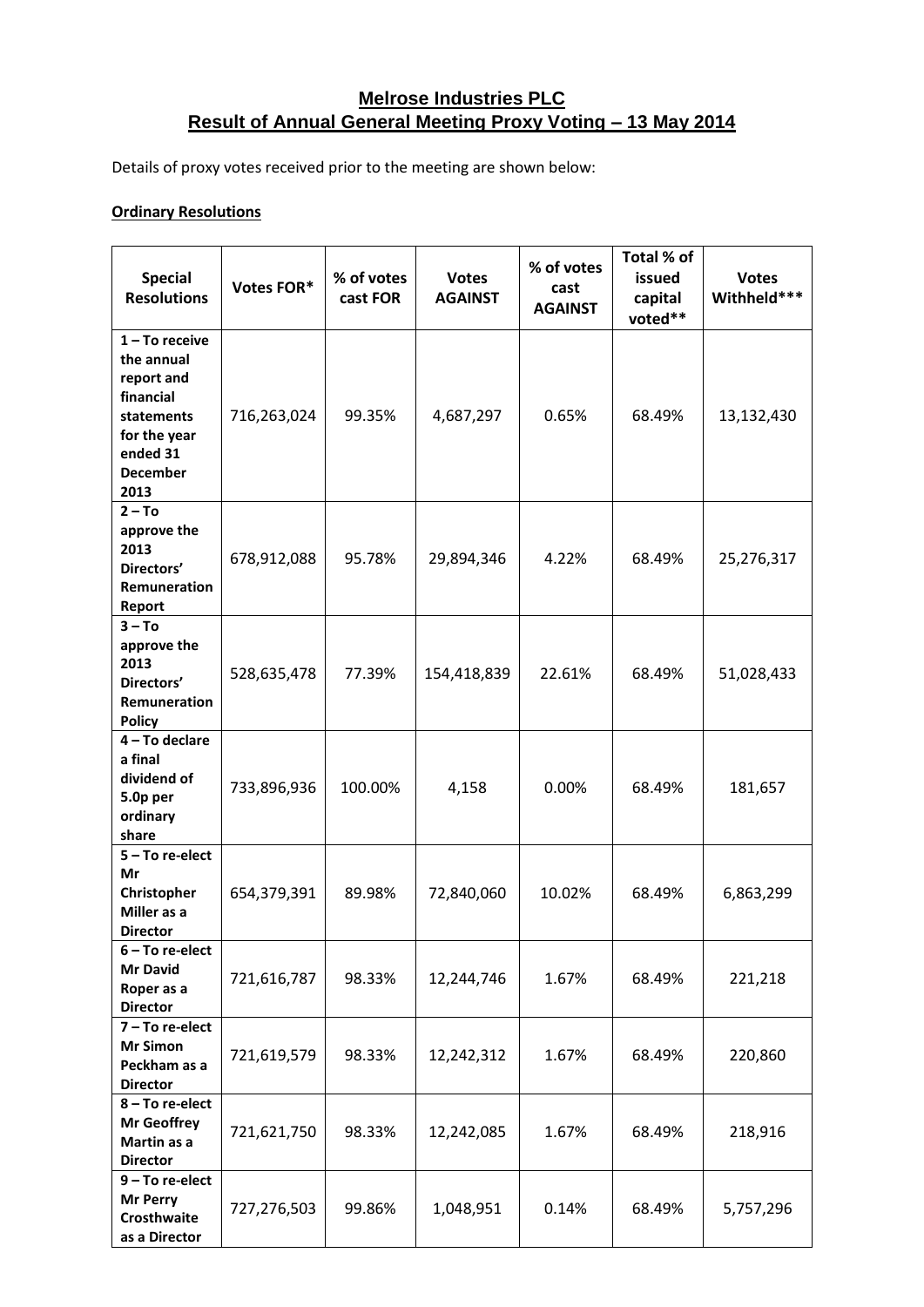## **Melrose Industries PLC Result of Annual General Meeting Proxy Voting – 13 May 2014**

Details of proxy votes received prior to the meeting are shown below:

## **Ordinary Resolutions**

| <b>Special</b><br><b>Resolutions</b>                                                                                           | Votes FOR*  | % of votes<br>cast FOR | <b>Votes</b><br><b>AGAINST</b> | % of votes<br>cast<br><b>AGAINST</b> | Total % of<br>issued<br>capital<br>voted** | <b>Votes</b><br>Withheld*** |
|--------------------------------------------------------------------------------------------------------------------------------|-------------|------------------------|--------------------------------|--------------------------------------|--------------------------------------------|-----------------------------|
| $1 - To receive$<br>the annual<br>report and<br>financial<br>statements<br>for the year<br>ended 31<br><b>December</b><br>2013 | 716,263,024 | 99.35%                 | 4,687,297                      | 0.65%                                | 68.49%                                     | 13,132,430                  |
| $2 - To$<br>approve the<br>2013<br>Directors'<br>Remuneration<br>Report                                                        | 678,912,088 | 95.78%                 | 29,894,346                     | 4.22%                                | 68.49%                                     | 25,276,317                  |
| $3 - To$<br>approve the<br>2013<br>Directors'<br>Remuneration<br><b>Policy</b>                                                 | 528,635,478 | 77.39%                 | 154,418,839                    | 22.61%                               | 68.49%                                     | 51,028,433                  |
| 4 - To declare<br>a final<br>dividend of<br>5.0p per<br>ordinary<br>share                                                      | 733,896,936 | 100.00%                | 4,158                          | 0.00%                                | 68.49%                                     | 181,657                     |
| 5-To re-elect<br>Mr<br>Christopher<br>Miller as a<br><b>Director</b>                                                           | 654,379,391 | 89.98%                 | 72,840,060                     | 10.02%                               | 68.49%                                     | 6,863,299                   |
| 6 – To re-elect<br><b>Mr David</b><br>Roper as a<br><b>Director</b>                                                            | 721,616,787 | 98.33%                 | 12,244,746                     | 1.67%                                | 68.49%                                     | 221,218                     |
| 7 - To re-elect<br><b>Mr Simon</b><br>Peckham as a<br><b>Director</b>                                                          | 721,619,579 | 98.33%                 | 12,242,312                     | 1.67%                                | 68.49%                                     | 220,860                     |
| 8-To re-elect<br><b>Mr Geoffrey</b><br>Martin as a<br><b>Director</b>                                                          | 721,621,750 | 98.33%                 | 12,242,085                     | 1.67%                                | 68.49%                                     | 218,916                     |
| 9-To re-elect<br><b>Mr Perry</b><br>Crosthwaite<br>as a Director                                                               | 727,276,503 | 99.86%                 | 1,048,951                      | 0.14%                                | 68.49%                                     | 5,757,296                   |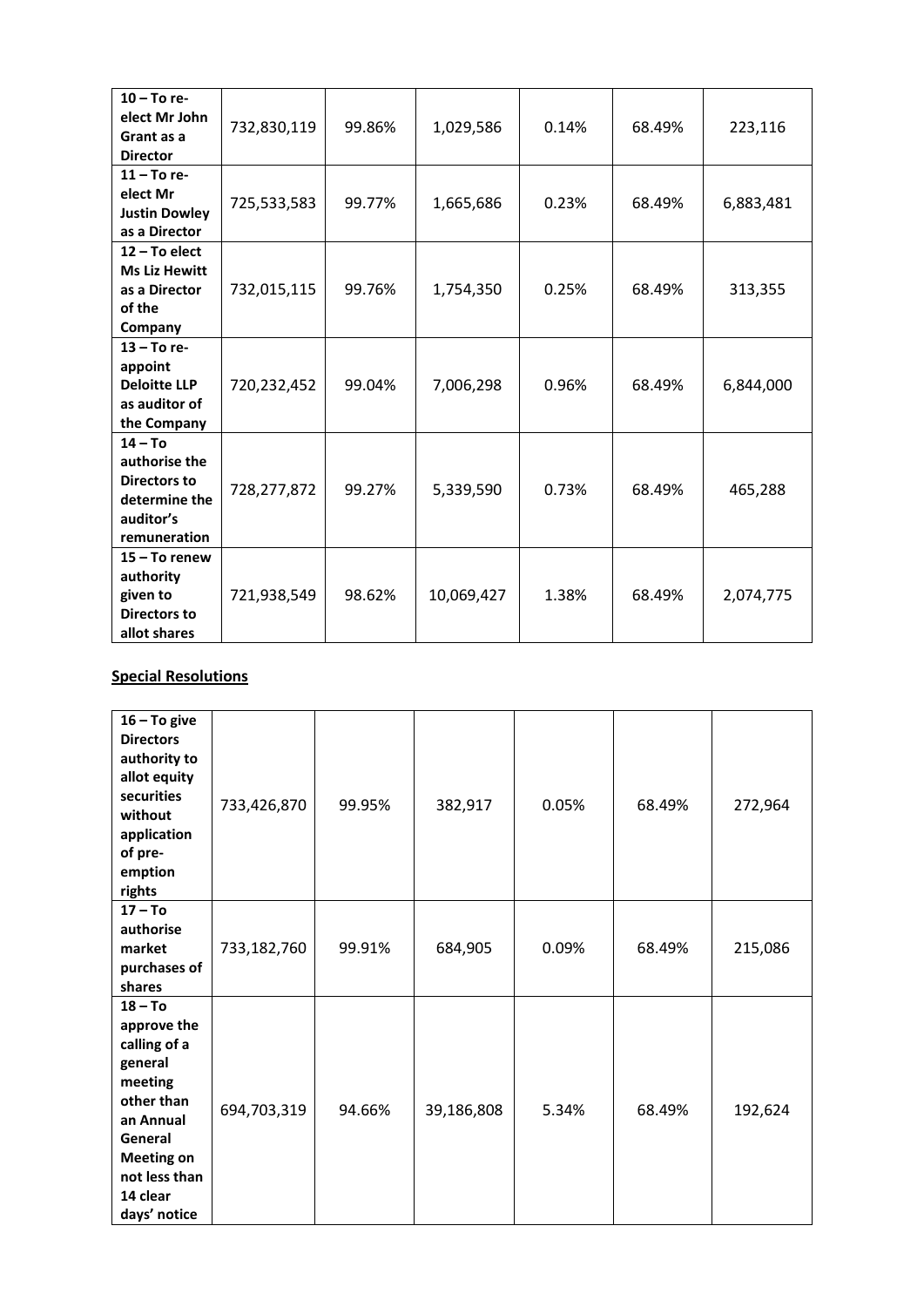| $10 - To re-$<br>elect Mr John<br>Grant as a<br><b>Director</b>                                 | 732,830,119 | 99.86% | 1,029,586  | 0.14% | 68.49% | 223,116   |
|-------------------------------------------------------------------------------------------------|-------------|--------|------------|-------|--------|-----------|
| $11 - To re-$<br>elect Mr<br><b>Justin Dowley</b><br>as a Director                              | 725,533,583 | 99.77% | 1,665,686  | 0.23% | 68.49% | 6,883,481 |
| 12 - To elect<br><b>Ms Liz Hewitt</b><br>as a Director<br>of the<br>Company                     | 732,015,115 | 99.76% | 1,754,350  | 0.25% | 68.49% | 313,355   |
| 13 - To re-<br>appoint<br><b>Deloitte LLP</b><br>as auditor of<br>the Company                   | 720,232,452 | 99.04% | 7,006,298  | 0.96% | 68.49% | 6,844,000 |
| $14 - To$<br>authorise the<br><b>Directors to</b><br>determine the<br>auditor's<br>remuneration | 728,277,872 | 99.27% | 5,339,590  | 0.73% | 68.49% | 465,288   |
| $15 - To$ renew<br>authority<br>given to<br><b>Directors to</b><br>allot shares                 | 721,938,549 | 98.62% | 10,069,427 | 1.38% | 68.49% | 2,074,775 |

## **Special Resolutions**

| $16 - To give$<br><b>Directors</b><br>authority to<br>allot equity<br>securities<br>without<br>application<br>of pre-<br>emption<br>rights                             | 733,426,870 | 99.95% | 382,917    | 0.05% | 68.49% | 272,964 |
|------------------------------------------------------------------------------------------------------------------------------------------------------------------------|-------------|--------|------------|-------|--------|---------|
| $17 - To$<br>authorise<br>market<br>purchases of<br>shares                                                                                                             | 733,182,760 | 99.91% | 684,905    | 0.09% | 68.49% | 215,086 |
| $18 - To$<br>approve the<br>calling of a<br>general<br>meeting<br>other than<br>an Annual<br>General<br><b>Meeting on</b><br>not less than<br>14 clear<br>days' notice | 694,703,319 | 94.66% | 39,186,808 | 5.34% | 68.49% | 192,624 |